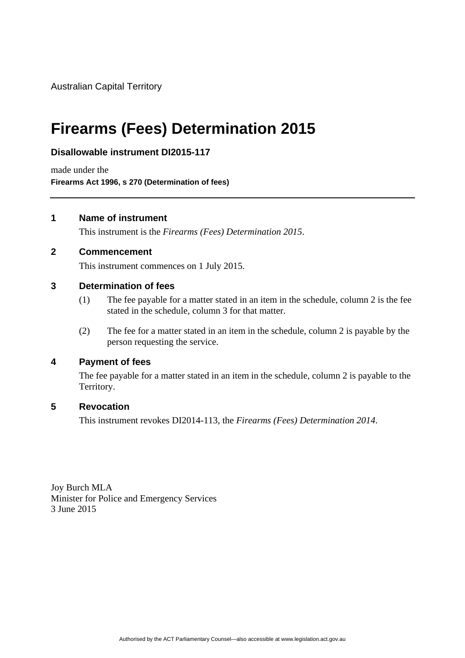Australian Capital Territory

# **Firearms (Fees) Determination 2015**

### **Disallowable instrument DI2015-117**

made under the **Firearms Act 1996, s 270 (Determination of fees)** 

#### **1 Name of instrument**

This instrument is the *Firearms (Fees) Determination 2015*.

#### **2 Commencement**

This instrument commences on 1 July 2015.

#### **3 Determination of fees**

- (1) The fee payable for a matter stated in an item in the schedule, column 2 is the fee stated in the schedule, column 3 for that matter.
- (2) The fee for a matter stated in an item in the schedule, column 2 is payable by the person requesting the service.

#### **4 Payment of fees**

The fee payable for a matter stated in an item in the schedule, column 2 is payable to the Territory.

#### **5 Revocation**

This instrument revokes DI2014-113, the *Firearms (Fees) Determination 2014*.

Joy Burch MLA Minister for Police and Emergency Services 3 June 2015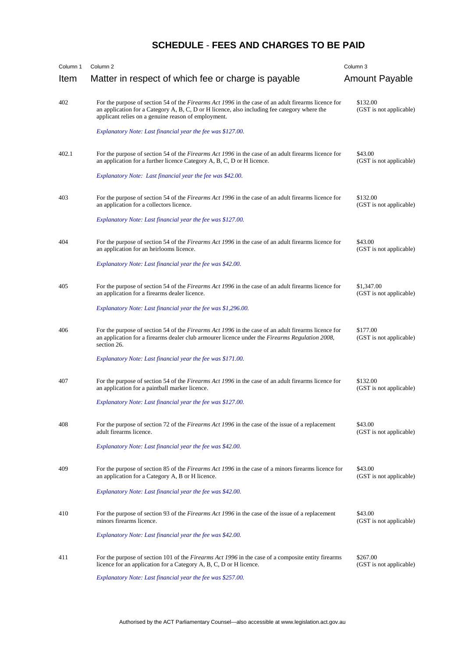## **SCHEDULE** - **FEES AND CHARGES TO BE PAID**

| Column 1 | Column <sub>2</sub>                                                                                                                                                                                                                                        | Column <sub>3</sub>                   |
|----------|------------------------------------------------------------------------------------------------------------------------------------------------------------------------------------------------------------------------------------------------------------|---------------------------------------|
| Item     | Matter in respect of which fee or charge is payable                                                                                                                                                                                                        | Amount Payable                        |
| 402      | For the purpose of section 54 of the Firearms Act 1996 in the case of an adult firearms licence for<br>an application for a Category A, B, C, D or H licence, also including fee category where the<br>applicant relies on a genuine reason of employment. | \$132.00<br>(GST is not applicable)   |
|          | Explanatory Note: Last financial year the fee was \$127.00.                                                                                                                                                                                                |                                       |
| 402.1    | For the purpose of section 54 of the Firearms Act 1996 in the case of an adult firearms licence for<br>an application for a further licence Category A, B, C, D or H licence.                                                                              | \$43.00<br>(GST is not applicable)    |
|          | Explanatory Note: Last financial year the fee was \$42.00.                                                                                                                                                                                                 |                                       |
| 403      | For the purpose of section 54 of the Firearms Act 1996 in the case of an adult firearms licence for<br>an application for a collectors licence.                                                                                                            | \$132.00<br>(GST is not applicable)   |
|          | Explanatory Note: Last financial year the fee was \$127.00.                                                                                                                                                                                                |                                       |
| 404      | For the purpose of section 54 of the Firearms Act 1996 in the case of an adult firearms licence for<br>an application for an heirlooms licence.                                                                                                            | \$43.00<br>(GST is not applicable)    |
|          | Explanatory Note: Last financial year the fee was \$42.00.                                                                                                                                                                                                 |                                       |
| 405      | For the purpose of section 54 of the Firearms Act 1996 in the case of an adult firearms licence for<br>an application for a firearms dealer licence.                                                                                                       | \$1,347.00<br>(GST is not applicable) |
|          | Explanatory Note: Last financial year the fee was \$1,296.00.                                                                                                                                                                                              |                                       |
| 406      | For the purpose of section 54 of the Firearms Act 1996 in the case of an adult firearms licence for<br>an application for a firearms dealer club armourer licence under the Firearms Regulation 2008,<br>section 26.                                       | \$177.00<br>(GST is not applicable)   |
|          | Explanatory Note: Last financial year the fee was \$171.00.                                                                                                                                                                                                |                                       |
| 407      | For the purpose of section 54 of the Firearms Act 1996 in the case of an adult firearms licence for<br>an application for a paintball marker licence.                                                                                                      | \$132.00<br>(GST is not applicable)   |
|          | Explanatory Note: Last financial year the fee was \$127.00.                                                                                                                                                                                                |                                       |
| 408      | For the purpose of section 72 of the Firearms Act 1996 in the case of the issue of a replacement<br>adult firearms licence.                                                                                                                                | \$43.00<br>(GST is not applicable)    |
|          | Explanatory Note: Last financial year the fee was \$42.00.                                                                                                                                                                                                 |                                       |
| 409      | For the purpose of section 85 of the Firearms Act 1996 in the case of a minors firearms licence for<br>an application for a Category A, B or H licence.                                                                                                    | \$43.00<br>(GST is not applicable)    |
|          | Explanatory Note: Last financial year the fee was \$42.00.                                                                                                                                                                                                 |                                       |
| 410      | For the purpose of section 93 of the <i>Firearms Act 1996</i> in the case of the issue of a replacement<br>minors firearms licence.                                                                                                                        | \$43.00<br>(GST is not applicable)    |
|          | Explanatory Note: Last financial year the fee was \$42.00.                                                                                                                                                                                                 |                                       |
| 411      | For the purpose of section 101 of the <i>Firearms Act 1996</i> in the case of a composite entity firearms<br>licence for an application for a Category A, B, C, D or H licence.                                                                            | \$267.00<br>(GST is not applicable)   |
|          | Explanatory Note: Last financial year the fee was \$257.00.                                                                                                                                                                                                |                                       |